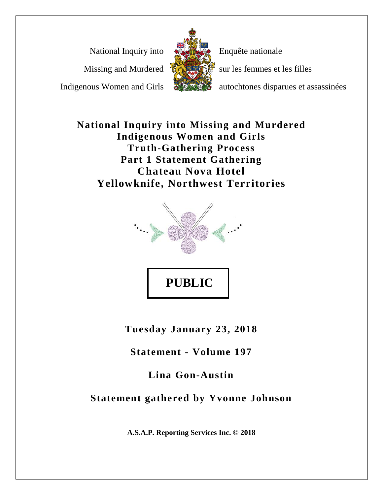National Inquiry into

Missing and Murdered

Indigenous Women and Girls



Enquête nationale

sur les femmes et les filles

autochtones disparues et assassinées

**National Inquiry into Missing and Murdered Indigenous Women and Girls Truth-Gathering Process Part 1 Statement Gathering Chateau Nova Hotel Yellowknife, Northwest Territories**



**Tuesday January 23, 2018**

**Statement - Volume 197**

**Lina Gon-Austin**

**Statement gathered by Yvonne Johnson**

**A.S.A.P. Reporting Services Inc. © 2018**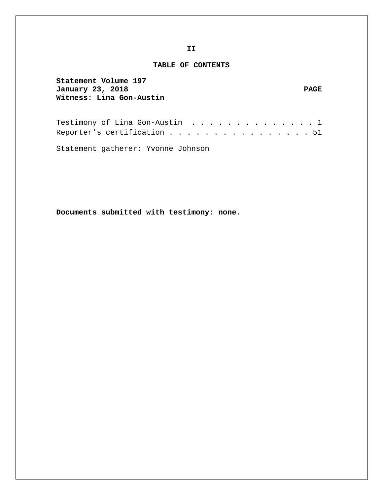#### **TABLE OF CONTENTS**

| Statement Volume 197<br>January 23, 2018<br>Witness: Lina Gon-Austin | <b>PAGE</b> |
|----------------------------------------------------------------------|-------------|
| Testimony of Lina Gon-Austin 1                                       |             |
| Reporter's certification 51                                          |             |

Statement gatherer: Yvonne Johnson

**Documents submitted with testimony: none.**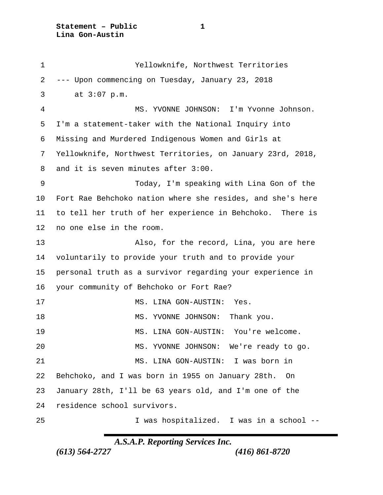**Statement – Public 1 Lina Gon-Austin**

 Yellowknife, Northwest Territories --- Upon commencing on Tuesday, January 23, 2018 3 at 3:07 p.m. MS. YVONNE JOHNSON: I'm Yvonne Johnson. I'm a statement-taker with the National Inquiry into Missing and Murdered Indigenous Women and Girls at Yellowknife, Northwest Territories, on January 23rd, 2018, and it is seven minutes after 3:00. Today, I'm speaking with Lina Gon of the Fort Rae Behchoko nation where she resides, and she's here to tell her truth of her experience in Behchoko. There is no one else in the room. Also, for the record, Lina, you are here voluntarily to provide your truth and to provide your personal truth as a survivor regarding your experience in your community of Behchoko or Fort Rae? 17 MS. LINA GON-AUSTIN: Yes. 18 MS. YVONNE JOHNSON: Thank you. MS. LINA GON-AUSTIN: You're welcome. MS. YVONNE JOHNSON: We're ready to go. MS. LINA GON-AUSTIN: I was born in Behchoko, and I was born in 1955 on January 28th. On January 28th, I'll be 63 years old, and I'm one of the residence school survivors. I was hospitalized. I was in a school --

*A.S.A.P. Reporting Services Inc.*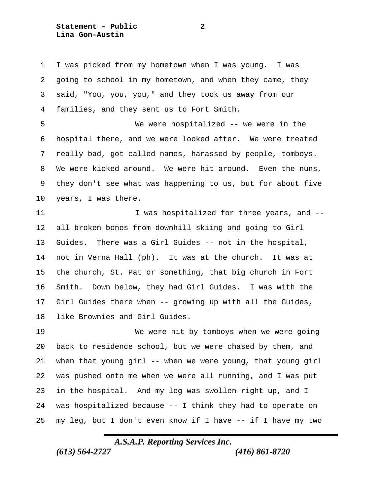**Statement – Public 2 Lina Gon-Austin**

 I was picked from my hometown when I was young. I was going to school in my hometown, and when they came, they said, "You, you, you," and they took us away from our families, and they sent us to Fort Smith.

 We were hospitalized -- we were in the hospital there, and we were looked after. We were treated really bad, got called names, harassed by people, tomboys. We were kicked around. We were hit around. Even the nuns, they don't see what was happening to us, but for about five years, I was there.

11 1 I was hospitalized for three years, and -- all broken bones from downhill skiing and going to Girl Guides. There was a Girl Guides -- not in the hospital, not in Verna Hall (ph). It was at the church. It was at the church, St. Pat or something, that big church in Fort Smith. Down below, they had Girl Guides. I was with the Girl Guides there when -- growing up with all the Guides, like Brownies and Girl Guides.

 We were hit by tomboys when we were going back to residence school, but we were chased by them, and when that young girl -- when we were young, that young girl was pushed onto me when we were all running, and I was put in the hospital. And my leg was swollen right up, and I was hospitalized because -- I think they had to operate on my leg, but I don't even know if I have -- if I have my two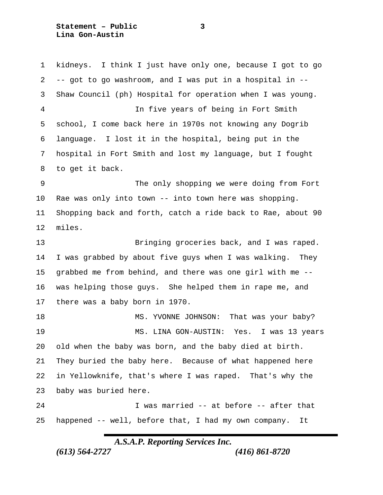**Statement – Public 3 Lina Gon-Austin**

 kidneys. I think I just have only one, because I got to go -- got to go washroom, and I was put in a hospital in -- Shaw Council (ph) Hospital for operation when I was young. In five years of being in Fort Smith school, I come back here in 1970s not knowing any Dogrib language. I lost it in the hospital, being put in the hospital in Fort Smith and lost my language, but I fought to get it back. The only shopping we were doing from Fort Rae was only into town -- into town here was shopping. Shopping back and forth, catch a ride back to Rae, about 90 miles. Bringing groceries back, and I was raped. I was grabbed by about five guys when I was walking. They grabbed me from behind, and there was one girl with me -- was helping those guys. She helped them in rape me, and there was a baby born in 1970. 18 MS. YVONNE JOHNSON: That was your baby? MS. LINA GON-AUSTIN: Yes. I was 13 years old when the baby was born, and the baby died at birth. They buried the baby here. Because of what happened here in Yellowknife, that's where I was raped. That's why the baby was buried here. I was married -- at before -- after that happened -- well, before that, I had my own company. It

*A.S.A.P. Reporting Services Inc.*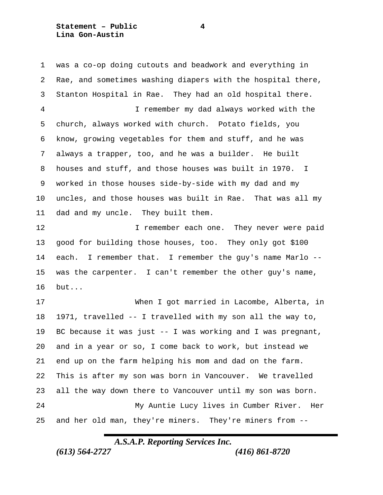was a co-op doing cutouts and beadwork and everything in Rae, and sometimes washing diapers with the hospital there, Stanton Hospital in Rae. They had an old hospital there. I remember my dad always worked with the church, always worked with church. Potato fields, you know, growing vegetables for them and stuff, and he was always a trapper, too, and he was a builder. He built houses and stuff, and those houses was built in 1970. I worked in those houses side-by-side with my dad and my uncles, and those houses was built in Rae. That was all my dad and my uncle. They built them. **I** remember each one. They never were paid good for building those houses, too. They only got \$100 each. I remember that. I remember the guy's name Marlo -- was the carpenter. I can't remember the other guy's name, but... When I got married in Lacombe, Alberta, in 1971, travelled -- I travelled with my son all the way to, BC because it was just -- I was working and I was pregnant, and in a year or so, I come back to work, but instead we end up on the farm helping his mom and dad on the farm. This is after my son was born in Vancouver. We travelled all the way down there to Vancouver until my son was born. My Auntie Lucy lives in Cumber River. Her and her old man, they're miners. They're miners from --

#### *A.S.A.P. Reporting Services Inc.*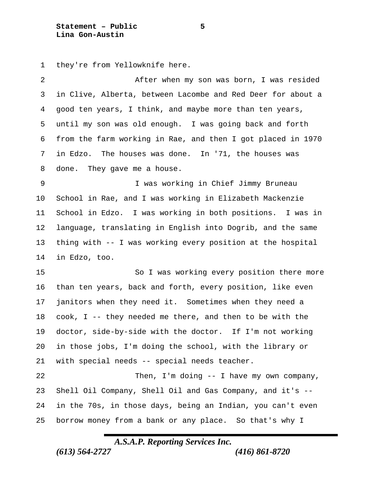**Statement – Public 5 Lina Gon-Austin**

they're from Yellowknife here.

 After when my son was born, I was resided in Clive, Alberta, between Lacombe and Red Deer for about a good ten years, I think, and maybe more than ten years, until my son was old enough. I was going back and forth from the farm working in Rae, and then I got placed in 1970 in Edzo. The houses was done. In '71, the houses was done. They gave me a house. I was working in Chief Jimmy Bruneau School in Rae, and I was working in Elizabeth Mackenzie School in Edzo. I was working in both positions. I was in language, translating in English into Dogrib, and the same thing with -- I was working every position at the hospital in Edzo, too. 15 So I was working every position there more than ten years, back and forth, every position, like even

 janitors when they need it. Sometimes when they need a cook, I -- they needed me there, and then to be with the doctor, side-by-side with the doctor. If I'm not working in those jobs, I'm doing the school, with the library or with special needs -- special needs teacher.

 Then, I'm doing -- I have my own company, Shell Oil Company, Shell Oil and Gas Company, and it's -- in the 70s, in those days, being an Indian, you can't even borrow money from a bank or any place. So that's why I

*A.S.A.P. Reporting Services Inc.*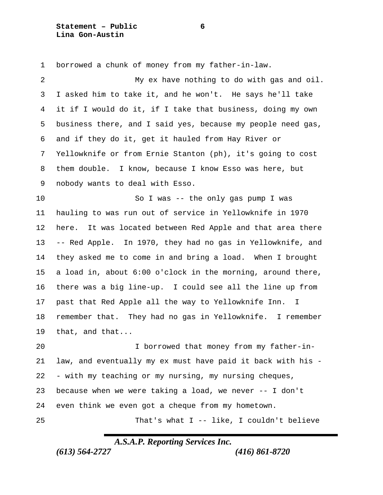**Statement – Public 6 Lina Gon-Austin**

 borrowed a chunk of money from my father-in-law. My ex have nothing to do with gas and oil. I asked him to take it, and he won't. He says he'll take it if I would do it, if I take that business, doing my own business there, and I said yes, because my people need gas, and if they do it, get it hauled from Hay River or Yellowknife or from Ernie Stanton (ph), it's going to cost them double. I know, because I know Esso was here, but nobody wants to deal with Esso. So I was -- the only gas pump I was hauling to was run out of service in Yellowknife in 1970 here. It was located between Red Apple and that area there -- Red Apple. In 1970, they had no gas in Yellowknife, and they asked me to come in and bring a load. When I brought a load in, about 6:00 o'clock in the morning, around there, there was a big line-up. I could see all the line up from past that Red Apple all the way to Yellowknife Inn. I remember that. They had no gas in Yellowknife. I remember that, and that... I borrowed that money from my father-in- law, and eventually my ex must have paid it back with his - - with my teaching or my nursing, my nursing cheques, because when we were taking a load, we never -- I don't even think we even got a cheque from my hometown. That's what I -- like, I couldn't believe

## *A.S.A.P. Reporting Services Inc.*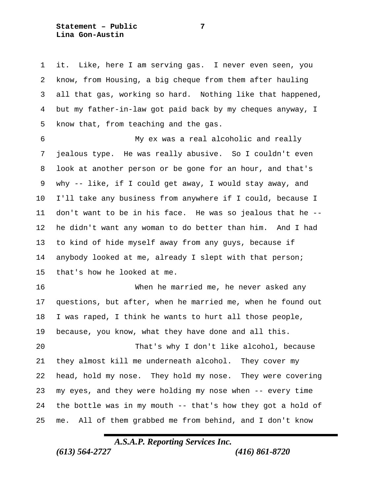**Statement – Public 7 Lina Gon-Austin**

 it. Like, here I am serving gas. I never even seen, you know, from Housing, a big cheque from them after hauling all that gas, working so hard. Nothing like that happened, but my father-in-law got paid back by my cheques anyway, I know that, from teaching and the gas.

 My ex was a real alcoholic and really jealous type. He was really abusive. So I couldn't even look at another person or be gone for an hour, and that's why -- like, if I could get away, I would stay away, and I'll take any business from anywhere if I could, because I don't want to be in his face. He was so jealous that he -- he didn't want any woman to do better than him. And I had to kind of hide myself away from any guys, because if anybody looked at me, already I slept with that person; that's how he looked at me.

 When he married me, he never asked any questions, but after, when he married me, when he found out I was raped, I think he wants to hurt all those people, because, you know, what they have done and all this.

 That's why I don't like alcohol, because they almost kill me underneath alcohol. They cover my head, hold my nose. They hold my nose. They were covering my eyes, and they were holding my nose when -- every time the bottle was in my mouth -- that's how they got a hold of me. All of them grabbed me from behind, and I don't know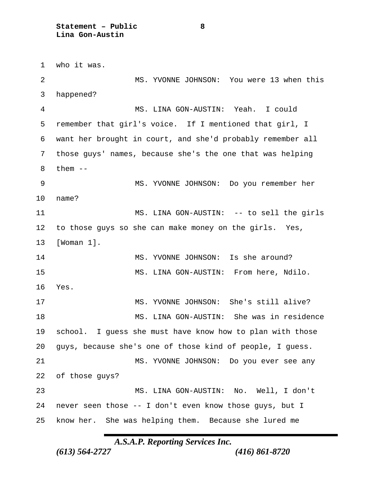who it was. MS. YVONNE JOHNSON: You were 13 when this happened? MS. LINA GON-AUSTIN: Yeah. I could remember that girl's voice. If I mentioned that girl, I want her brought in court, and she'd probably remember all those guys' names, because she's the one that was helping them  $--$  MS. YVONNE JOHNSON: Do you remember her name? MS. LINA GON-AUSTIN: -- to sell the girls to those guys so she can make money on the girls. Yes, [Woman 1]. 14 MS. YVONNE JOHNSON: Is she around? MS. LINA GON-AUSTIN: From here, Ndilo. Yes. MS. YVONNE JOHNSON: She's still alive? MS. LINA GON-AUSTIN: She was in residence school. I guess she must have know how to plan with those guys, because she's one of those kind of people, I guess. MS. YVONNE JOHNSON: Do you ever see any of those guys? MS. LINA GON-AUSTIN: No. Well, I don't never seen those -- I don't even know those guys, but I know her. She was helping them. Because she lured me

*A.S.A.P. Reporting Services Inc.*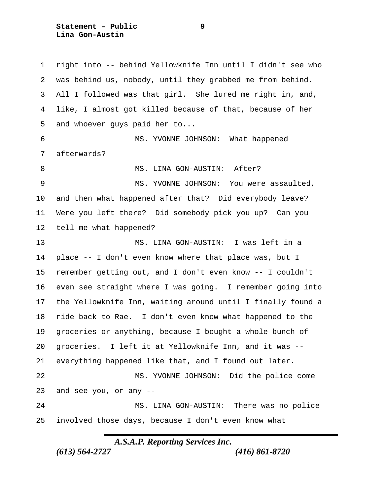**Statement – Public 9 Lina Gon-Austin**

 right into -- behind Yellowknife Inn until I didn't see who was behind us, nobody, until they grabbed me from behind. All I followed was that girl. She lured me right in, and, like, I almost got killed because of that, because of her and whoever guys paid her to... MS. YVONNE JOHNSON: What happened afterwards? 8 MS. LINA GON-AUSTIN: After? 9 MS. YVONNE JOHNSON: You were assaulted, and then what happened after that? Did everybody leave? Were you left there? Did somebody pick you up? Can you tell me what happened? MS. LINA GON-AUSTIN: I was left in a place -- I don't even know where that place was, but I remember getting out, and I don't even know -- I couldn't even see straight where I was going. I remember going into the Yellowknife Inn, waiting around until I finally found a ride back to Rae. I don't even know what happened to the groceries or anything, because I bought a whole bunch of groceries. I left it at Yellowknife Inn, and it was -- everything happened like that, and I found out later. MS. YVONNE JOHNSON: Did the police come and see you, or any -- MS. LINA GON-AUSTIN: There was no police involved those days, because I don't even know what

*A.S.A.P. Reporting Services Inc.*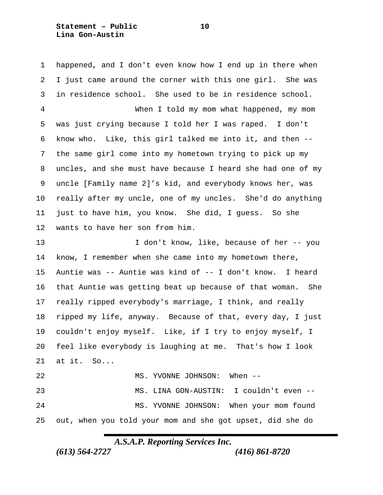**Statement – Public 10 Lina Gon-Austin**

 happened, and I don't even know how I end up in there when I just came around the corner with this one girl. She was in residence school. She used to be in residence school. When I told my mom what happened, my mom was just crying because I told her I was raped. I don't know who. Like, this girl talked me into it, and then -- the same girl come into my hometown trying to pick up my uncles, and she must have because I heard she had one of my uncle [Family name 2]'s kid, and everybody knows her, was really after my uncle, one of my uncles. She'd do anything just to have him, you know. She did, I guess. So she wants to have her son from him. I don't know, like, because of her -- you know, I remember when she came into my hometown there, Auntie was -- Auntie was kind of -- I don't know. I heard that Auntie was getting beat up because of that woman. She really ripped everybody's marriage, I think, and really ripped my life, anyway. Because of that, every day, I just couldn't enjoy myself. Like, if I try to enjoy myself, I feel like everybody is laughing at me. That's how I look at it. So... MS. YVONNE JOHNSON: When -- MS. LINA GON-AUSTIN: I couldn't even -- MS. YVONNE JOHNSON: When your mom found out, when you told your mom and she got upset, did she do

*A.S.A.P. Reporting Services Inc.*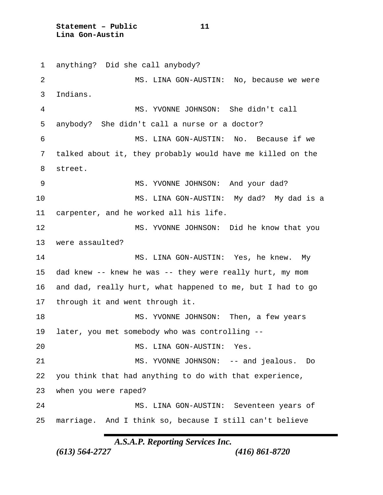**Statement – Public 11 Lina Gon-Austin**

 anything? Did she call anybody? MS. LINA GON-AUSTIN: No, because we were Indians. MS. YVONNE JOHNSON: She didn't call anybody? She didn't call a nurse or a doctor? MS. LINA GON-AUSTIN: No. Because if we talked about it, they probably would have me killed on the street. 9 MS. YVONNE JOHNSON: And your dad? MS. LINA GON-AUSTIN: My dad? My dad is a carpenter, and he worked all his life. MS. YVONNE JOHNSON: Did he know that you were assaulted? MS. LINA GON-AUSTIN: Yes, he knew. My dad knew -- knew he was -- they were really hurt, my mom and dad, really hurt, what happened to me, but I had to go through it and went through it. MS. YVONNE JOHNSON: Then, a few years later, you met somebody who was controlling -- MS. LINA GON-AUSTIN: Yes. MS. YVONNE JOHNSON: -- and jealous. Do you think that had anything to do with that experience, when you were raped? MS. LINA GON-AUSTIN: Seventeen years of marriage. And I think so, because I still can't believe

*A.S.A.P. Reporting Services Inc.*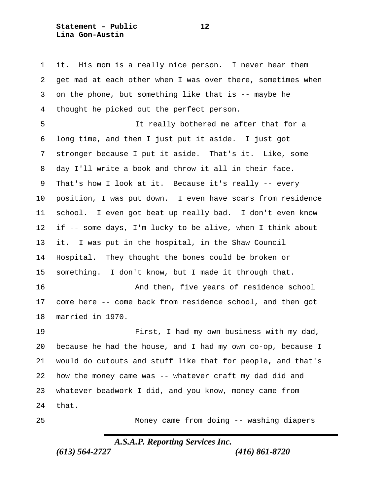**Statement – Public 12 Lina Gon-Austin**

 it. His mom is a really nice person. I never hear them get mad at each other when I was over there, sometimes when on the phone, but something like that is -- maybe he thought he picked out the perfect person.

 It really bothered me after that for a long time, and then I just put it aside. I just got stronger because I put it aside. That's it. Like, some day I'll write a book and throw it all in their face. That's how I look at it. Because it's really -- every position, I was put down. I even have scars from residence school. I even got beat up really bad. I don't even know if -- some days, I'm lucky to be alive, when I think about it. I was put in the hospital, in the Shaw Council Hospital. They thought the bones could be broken or something. I don't know, but I made it through that. And then, five years of residence school come here -- come back from residence school, and then got married in 1970. First, I had my own business with my dad,

 because he had the house, and I had my own co-op, because I would do cutouts and stuff like that for people, and that's how the money came was -- whatever craft my dad did and whatever beadwork I did, and you know, money came from that.

Money came from doing -- washing diapers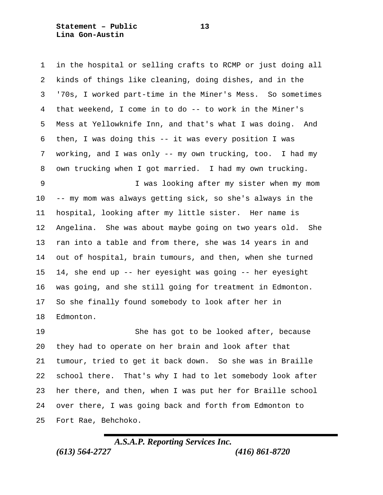**Statement – Public 13 Lina Gon-Austin**

 in the hospital or selling crafts to RCMP or just doing all kinds of things like cleaning, doing dishes, and in the '70s, I worked part-time in the Miner's Mess. So sometimes that weekend, I come in to do -- to work in the Miner's Mess at Yellowknife Inn, and that's what I was doing. And then, I was doing this -- it was every position I was working, and I was only -- my own trucking, too. I had my own trucking when I got married. I had my own trucking. I was looking after my sister when my mom -- my mom was always getting sick, so she's always in the hospital, looking after my little sister. Her name is Angelina. She was about maybe going on two years old. She ran into a table and from there, she was 14 years in and out of hospital, brain tumours, and then, when she turned 14, she end up -- her eyesight was going -- her eyesight was going, and she still going for treatment in Edmonton. So she finally found somebody to look after her in Edmonton.

 She has got to be looked after, because they had to operate on her brain and look after that tumour, tried to get it back down. So she was in Braille school there. That's why I had to let somebody look after her there, and then, when I was put her for Braille school over there, I was going back and forth from Edmonton to Fort Rae, Behchoko.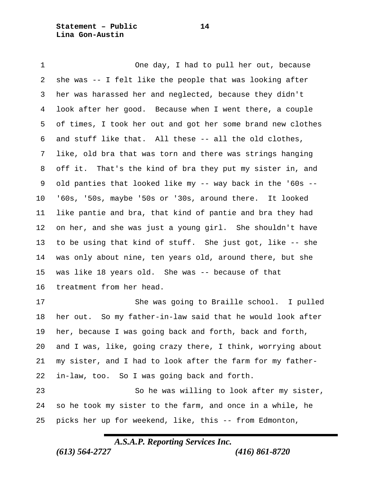**Statement – Public 14 Lina Gon-Austin**

 One day, I had to pull her out, because she was -- I felt like the people that was looking after her was harassed her and neglected, because they didn't look after her good. Because when I went there, a couple of times, I took her out and got her some brand new clothes and stuff like that. All these -- all the old clothes, like, old bra that was torn and there was strings hanging off it. That's the kind of bra they put my sister in, and old panties that looked like my -- way back in the '60s -- '60s, '50s, maybe '50s or '30s, around there. It looked like pantie and bra, that kind of pantie and bra they had on her, and she was just a young girl. She shouldn't have to be using that kind of stuff. She just got, like -- she was only about nine, ten years old, around there, but she was like 18 years old. She was -- because of that treatment from her head. She was going to Braille school. I pulled

 her out. So my father-in-law said that he would look after her, because I was going back and forth, back and forth, and I was, like, going crazy there, I think, worrying about my sister, and I had to look after the farm for my father-in-law, too. So I was going back and forth.

 So he was willing to look after my sister, so he took my sister to the farm, and once in a while, he picks her up for weekend, like, this -- from Edmonton,

*A.S.A.P. Reporting Services Inc.*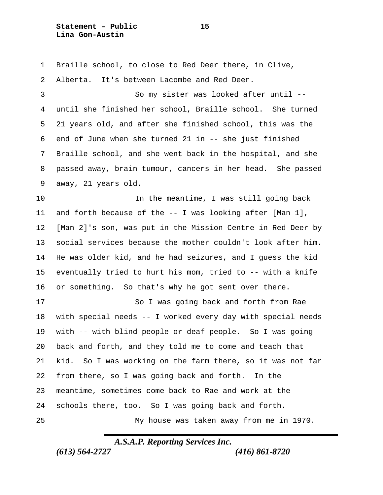**Statement – Public 15 Lina Gon-Austin**

 Braille school, to close to Red Deer there, in Clive, Alberta. It's between Lacombe and Red Deer. So my sister was looked after until -- until she finished her school, Braille school. She turned 21 years old, and after she finished school, this was the end of June when she turned 21 in -- she just finished Braille school, and she went back in the hospital, and she passed away, brain tumour, cancers in her head. She passed away, 21 years old. In the meantime, I was still going back and forth because of the -- I was looking after [Man 1], [Man 2]'s son, was put in the Mission Centre in Red Deer by social services because the mother couldn't look after him. He was older kid, and he had seizures, and I guess the kid eventually tried to hurt his mom, tried to -- with a knife or something. So that's why he got sent over there. So I was going back and forth from Rae with special needs -- I worked every day with special needs with -- with blind people or deaf people. So I was going back and forth, and they told me to come and teach that kid. So I was working on the farm there, so it was not far from there, so I was going back and forth. In the meantime, sometimes come back to Rae and work at the schools there, too. So I was going back and forth. My house was taken away from me in 1970.

*A.S.A.P. Reporting Services Inc.*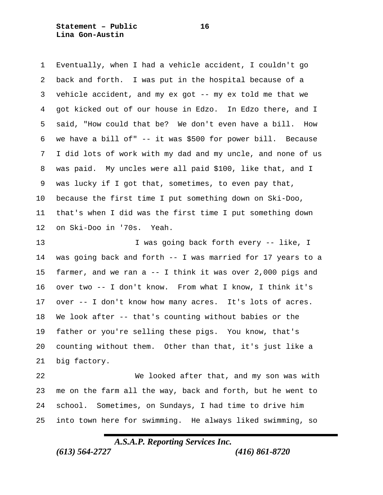**Statement – Public 16 Lina Gon-Austin**

 Eventually, when I had a vehicle accident, I couldn't go back and forth. I was put in the hospital because of a vehicle accident, and my ex got -- my ex told me that we got kicked out of our house in Edzo. In Edzo there, and I said, "How could that be? We don't even have a bill. How we have a bill of" -- it was \$500 for power bill. Because I did lots of work with my dad and my uncle, and none of us was paid. My uncles were all paid \$100, like that, and I was lucky if I got that, sometimes, to even pay that, because the first time I put something down on Ski-Doo, that's when I did was the first time I put something down on Ski-Doo in '70s. Yeah.

13 I was going back forth every -- like, I was going back and forth -- I was married for 17 years to a farmer, and we ran a -- I think it was over 2,000 pigs and over two -- I don't know. From what I know, I think it's over -- I don't know how many acres. It's lots of acres. We look after -- that's counting without babies or the father or you're selling these pigs. You know, that's counting without them. Other than that, it's just like a big factory.

 We looked after that, and my son was with me on the farm all the way, back and forth, but he went to school. Sometimes, on Sundays, I had time to drive him into town here for swimming. He always liked swimming, so

*A.S.A.P. Reporting Services Inc.*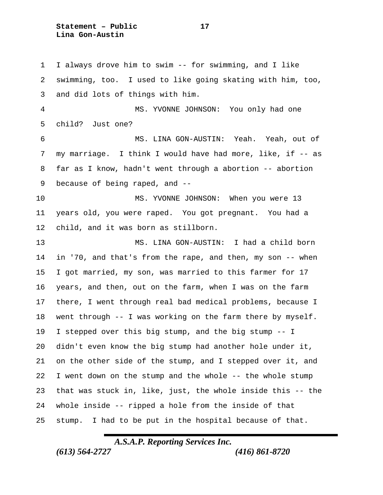**Statement – Public 17 Lina Gon-Austin**

 I always drove him to swim -- for swimming, and I like swimming, too. I used to like going skating with him, too, and did lots of things with him. MS. YVONNE JOHNSON: You only had one child? Just one? MS. LINA GON-AUSTIN: Yeah. Yeah, out of my marriage. I think I would have had more, like, if -- as far as I know, hadn't went through a abortion -- abortion because of being raped, and -- MS. YVONNE JOHNSON: When you were 13 years old, you were raped. You got pregnant. You had a child, and it was born as stillborn. MS. LINA GON-AUSTIN: I had a child born in '70, and that's from the rape, and then, my son -- when I got married, my son, was married to this farmer for 17 years, and then, out on the farm, when I was on the farm there, I went through real bad medical problems, because I went through -- I was working on the farm there by myself. I stepped over this big stump, and the big stump -- I didn't even know the big stump had another hole under it, on the other side of the stump, and I stepped over it, and I went down on the stump and the whole -- the whole stump that was stuck in, like, just, the whole inside this -- the whole inside -- ripped a hole from the inside of that stump. I had to be put in the hospital because of that.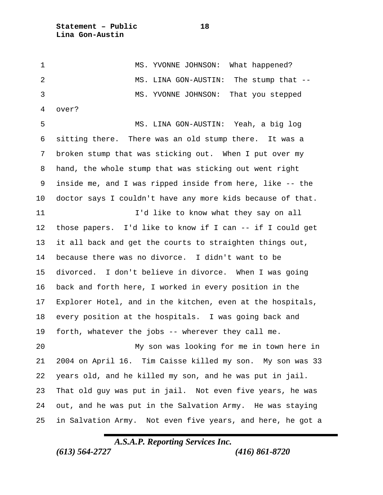**Statement – Public 18 Lina Gon-Austin**

1 MS. YVONNE JOHNSON: What happened? 2 MS. LINA GON-AUSTIN: The stump that -- MS. YVONNE JOHNSON: That you stepped over? MS. LINA GON-AUSTIN: Yeah, a big log sitting there. There was an old stump there. It was a broken stump that was sticking out. When I put over my hand, the whole stump that was sticking out went right inside me, and I was ripped inside from here, like -- the doctor says I couldn't have any more kids because of that. **I'd like to know what they say on all**  those papers. I'd like to know if I can -- if I could get it all back and get the courts to straighten things out,

 because there was no divorce. I didn't want to be divorced. I don't believe in divorce. When I was going back and forth here, I worked in every position in the Explorer Hotel, and in the kitchen, even at the hospitals, every position at the hospitals. I was going back and forth, whatever the jobs -- wherever they call me.

 My son was looking for me in town here in 2004 on April 16. Tim Caisse killed my son. My son was 33 years old, and he killed my son, and he was put in jail. That old guy was put in jail. Not even five years, he was out, and he was put in the Salvation Army. He was staying in Salvation Army. Not even five years, and here, he got a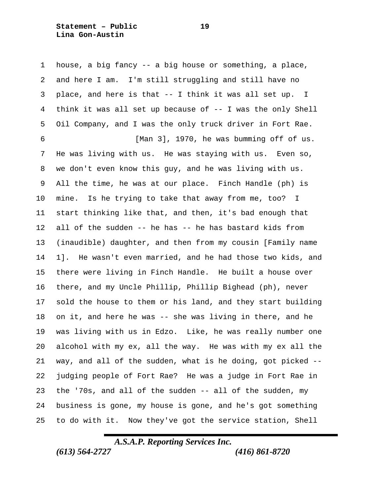**Statement – Public 19 Lina Gon-Austin**

 house, a big fancy -- a big house or something, a place, and here I am. I'm still struggling and still have no place, and here is that -- I think it was all set up. I think it was all set up because of -- I was the only Shell Oil Company, and I was the only truck driver in Fort Rae. [Man 3], 1970, he was bumming off of us. He was living with us. He was staying with us. Even so, we don't even know this guy, and he was living with us. All the time, he was at our place. Finch Handle (ph) is mine. Is he trying to take that away from me, too? I start thinking like that, and then, it's bad enough that all of the sudden -- he has -- he has bastard kids from (inaudible) daughter, and then from my cousin [Family name 1]. He wasn't even married, and he had those two kids, and there were living in Finch Handle. He built a house over there, and my Uncle Phillip, Phillip Bighead (ph), never sold the house to them or his land, and they start building on it, and here he was -- she was living in there, and he was living with us in Edzo. Like, he was really number one alcohol with my ex, all the way. He was with my ex all the way, and all of the sudden, what is he doing, got picked -- judging people of Fort Rae? He was a judge in Fort Rae in the '70s, and all of the sudden -- all of the sudden, my business is gone, my house is gone, and he's got something to do with it. Now they've got the service station, Shell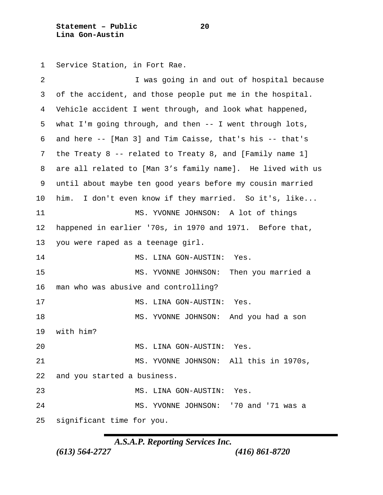**Statement – Public 20 Lina Gon-Austin**

Service Station, in Fort Rae.

| 2  | I was going in and out of hospital because                    |
|----|---------------------------------------------------------------|
| 3  | of the accident, and those people put me in the hospital.     |
| 4  | Vehicle accident I went through, and look what happened,      |
| 5  | what I'm going through, and then $-$ - I went through lots,   |
| 6  | and here -- [Man 3] and Tim Caisse, that's his -- that's      |
| 7  | the Treaty $8$ -- related to Treaty $8$ , and [Family name 1] |
| 8  | are all related to [Man 3's family name]. He lived with us    |
| 9  | until about maybe ten good years before my cousin married     |
| 10 | I don't even know if they married. So it's, like<br>him.      |
| 11 | MS. YVONNE JOHNSON: A lot of things                           |
| 12 | happened in earlier '70s, in 1970 and 1971. Before that,      |
| 13 | you were raped as a teenage girl.                             |
| 14 | MS. LINA GON-AUSTIN:<br>Yes.                                  |
| 15 | MS. YVONNE JOHNSON:<br>Then you married a                     |
| 16 | man who was abusive and controlling?                          |
| 17 | MS. LINA GON-AUSTIN:<br>Yes.                                  |
| 18 | MS. YVONNE JOHNSON:<br>And you had a son                      |
| 19 | with him?                                                     |
| 20 | MS. LINA GON-AUSTIN:<br>Yes.                                  |
| 21 | MS. YVONNE JOHNSON: All this in 1970s,                        |
| 22 | and you started a business.                                   |
| 23 | MS. LINA GON-AUSTIN:<br>Yes.                                  |
| 24 | '70 and '71 was a<br>MS. YVONNE JOHNSON:                      |
| 25 | significant time for you.                                     |
|    |                                                               |

*A.S.A.P. Reporting Services Inc.*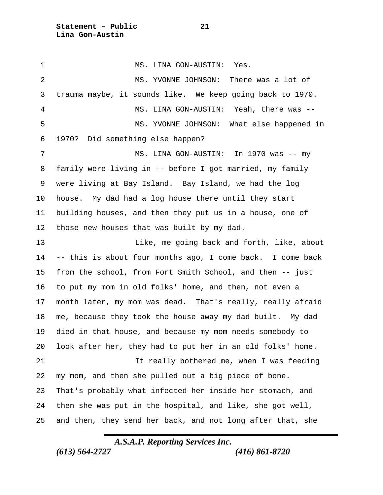**Statement – Public 21 Lina Gon-Austin**

1 MS. LINA GON-AUSTIN: Yes. 2 MS. YVONNE JOHNSON: There was a lot of trauma maybe, it sounds like. We keep going back to 1970. MS. LINA GON-AUSTIN: Yeah, there was -- MS. YVONNE JOHNSON: What else happened in 1970? Did something else happen? 7 MS. LINA GON-AUSTIN: In 1970 was -- my family were living in -- before I got married, my family were living at Bay Island. Bay Island, we had the log house. My dad had a log house there until they start building houses, and then they put us in a house, one of those new houses that was built by my dad. Like, me going back and forth, like, about -- this is about four months ago, I come back. I come back from the school, from Fort Smith School, and then -- just to put my mom in old folks' home, and then, not even a month later, my mom was dead. That's really, really afraid me, because they took the house away my dad built. My dad died in that house, and because my mom needs somebody to look after her, they had to put her in an old folks' home. It really bothered me, when I was feeding my mom, and then she pulled out a big piece of bone. That's probably what infected her inside her stomach, and then she was put in the hospital, and like, she got well, and then, they send her back, and not long after that, she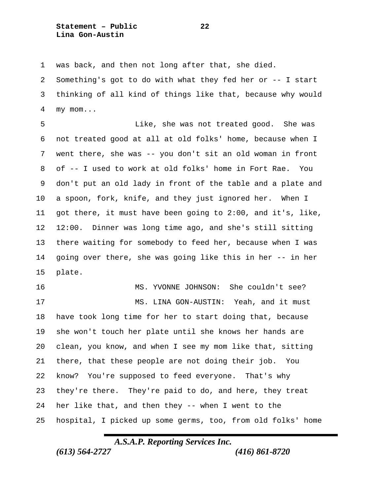**Statement – Public 22 Lina Gon-Austin**

was back, and then not long after that, she died.

 Something's got to do with what they fed her or -- I start thinking of all kind of things like that, because why would my mom...

 Like, she was not treated good. She was not treated good at all at old folks' home, because when I went there, she was -- you don't sit an old woman in front of -- I used to work at old folks' home in Fort Rae. You don't put an old lady in front of the table and a plate and a spoon, fork, knife, and they just ignored her. When I got there, it must have been going to 2:00, and it's, like, 12:00. Dinner was long time ago, and she's still sitting there waiting for somebody to feed her, because when I was going over there, she was going like this in her -- in her plate.

 MS. YVONNE JOHNSON: She couldn't see? 17 MS. LINA GON-AUSTIN: Yeah, and it must have took long time for her to start doing that, because she won't touch her plate until she knows her hands are clean, you know, and when I see my mom like that, sitting there, that these people are not doing their job. You know? You're supposed to feed everyone. That's why they're there. They're paid to do, and here, they treat her like that, and then they -- when I went to the hospital, I picked up some germs, too, from old folks' home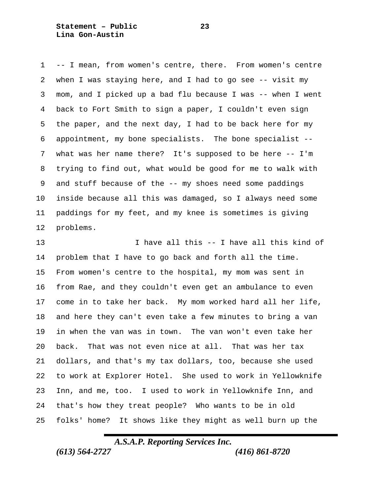**Statement – Public 23 Lina Gon-Austin**

 -- I mean, from women's centre, there. From women's centre when I was staying here, and I had to go see -- visit my mom, and I picked up a bad flu because I was -- when I went back to Fort Smith to sign a paper, I couldn't even sign the paper, and the next day, I had to be back here for my appointment, my bone specialists. The bone specialist -- what was her name there? It's supposed to be here -- I'm trying to find out, what would be good for me to walk with and stuff because of the -- my shoes need some paddings inside because all this was damaged, so I always need some paddings for my feet, and my knee is sometimes is giving problems.

 I have all this -- I have all this kind of problem that I have to go back and forth all the time. From women's centre to the hospital, my mom was sent in from Rae, and they couldn't even get an ambulance to even come in to take her back. My mom worked hard all her life, and here they can't even take a few minutes to bring a van in when the van was in town. The van won't even take her back. That was not even nice at all. That was her tax dollars, and that's my tax dollars, too, because she used to work at Explorer Hotel. She used to work in Yellowknife Inn, and me, too. I used to work in Yellowknife Inn, and that's how they treat people? Who wants to be in old folks' home? It shows like they might as well burn up the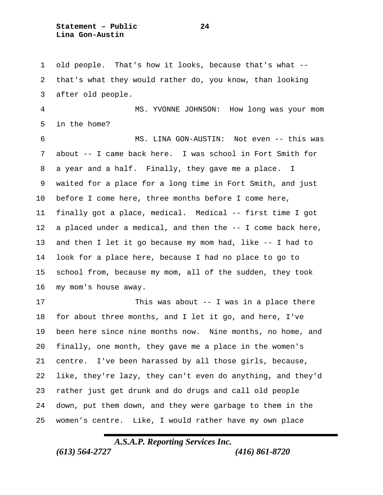**Statement – Public 24 Lina Gon-Austin**

 old people. That's how it looks, because that's what -- that's what they would rather do, you know, than looking after old people.

 MS. YVONNE JOHNSON: How long was your mom in the home?

 MS. LINA GON-AUSTIN: Not even -- this was about -- I came back here. I was school in Fort Smith for a year and a half. Finally, they gave me a place. I waited for a place for a long time in Fort Smith, and just before I come here, three months before I come here, finally got a place, medical. Medical -- first time I got a placed under a medical, and then the -- I come back here, and then I let it go because my mom had, like -- I had to look for a place here, because I had no place to go to school from, because my mom, all of the sudden, they took my mom's house away.

 This was about -- I was in a place there for about three months, and I let it go, and here, I've been here since nine months now. Nine months, no home, and finally, one month, they gave me a place in the women's centre. I've been harassed by all those girls, because, like, they're lazy, they can't even do anything, and they'd rather just get drunk and do drugs and call old people down, put them down, and they were garbage to them in the women's centre. Like, I would rather have my own place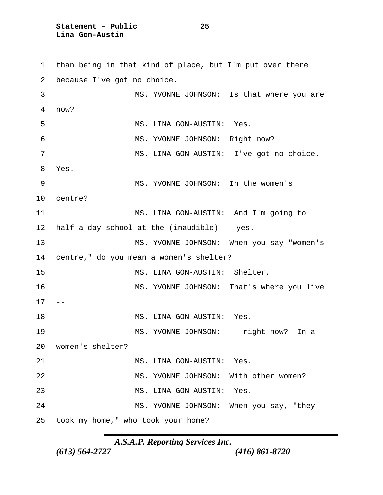**Statement – Public 25 Lina Gon-Austin**

 than being in that kind of place, but I'm put over there because I've got no choice. MS. YVONNE JOHNSON: Is that where you are now? MS. LINA GON-AUSTIN: Yes. MS. YVONNE JOHNSON: Right now? MS. LINA GON-AUSTIN: I've got no choice. Yes. MS. YVONNE JOHNSON: In the women's centre? MS. LINA GON-AUSTIN: And I'm going to half a day school at the (inaudible) -- yes. MS. YVONNE JOHNSON: When you say "women's centre," do you mean a women's shelter? MS. LINA GON-AUSTIN: Shelter. 16 MS. YVONNE JOHNSON: That's where you live  $17 - -$ 18 MS. LINA GON-AUSTIN: Yes. MS. YVONNE JOHNSON: -- right now? In a women's shelter? 21 MS. LINA GON-AUSTIN: Yes. MS. YVONNE JOHNSON: With other women? MS. LINA GON-AUSTIN: Yes. MS. YVONNE JOHNSON: When you say, "they took my home," who took your home?

*A.S.A.P. Reporting Services Inc.*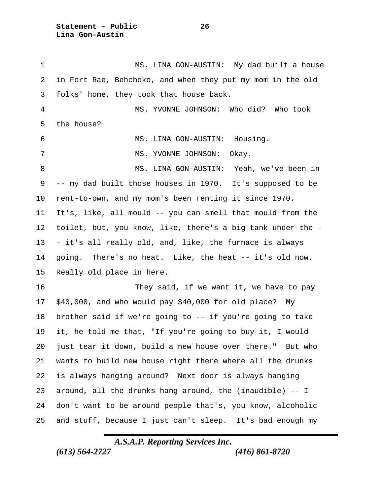**Statement – Public 26 Lina Gon-Austin**

 MS. LINA GON-AUSTIN: My dad built a house in Fort Rae, Behchoko, and when they put my mom in the old folks' home, they took that house back. MS. YVONNE JOHNSON: Who did? Who took the house? MS. LINA GON-AUSTIN: Housing. 7 MS. YVONNE JOHNSON: Okay. MS. LINA GON-AUSTIN: Yeah, we've been in -- my dad built those houses in 1970. It's supposed to be rent-to-own, and my mom's been renting it since 1970. It's, like, all mould -- you can smell that mould from the toilet, but, you know, like, there's a big tank under the - - it's all really old, and, like, the furnace is always going. There's no heat. Like, the heat -- it's old now. Really old place in here. They said, if we want it, we have to pay \$40,000, and who would pay \$40,000 for old place? My brother said if we're going to -- if you're going to take it, he told me that, "If you're going to buy it, I would just tear it down, build a new house over there." But who wants to build new house right there where all the drunks is always hanging around? Next door is always hanging around, all the drunks hang around, the (inaudible) -- I don't want to be around people that's, you know, alcoholic and stuff, because I just can't sleep. It's bad enough my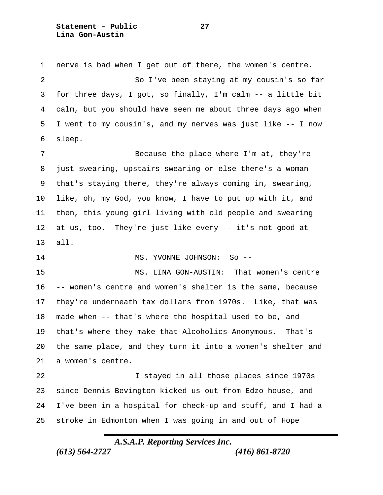**Statement – Public 27 Lina Gon-Austin**

 nerve is bad when I get out of there, the women's centre. So I've been staying at my cousin's so far for three days, I got, so finally, I'm calm -- a little bit calm, but you should have seen me about three days ago when I went to my cousin's, and my nerves was just like -- I now sleep.

7 Because the place where I'm at, they're just swearing, upstairs swearing or else there's a woman that's staying there, they're always coming in, swearing, like, oh, my God, you know, I have to put up with it, and then, this young girl living with old people and swearing at us, too. They're just like every -- it's not good at all.

14 MS. YVONNE JOHNSON: So --

 MS. LINA GON-AUSTIN: That women's centre -- women's centre and women's shelter is the same, because they're underneath tax dollars from 1970s. Like, that was made when -- that's where the hospital used to be, and that's where they make that Alcoholics Anonymous. That's the same place, and they turn it into a women's shelter and a women's centre.

 I stayed in all those places since 1970s since Dennis Bevington kicked us out from Edzo house, and I've been in a hospital for check-up and stuff, and I had a stroke in Edmonton when I was going in and out of Hope

# *A.S.A.P. Reporting Services Inc.*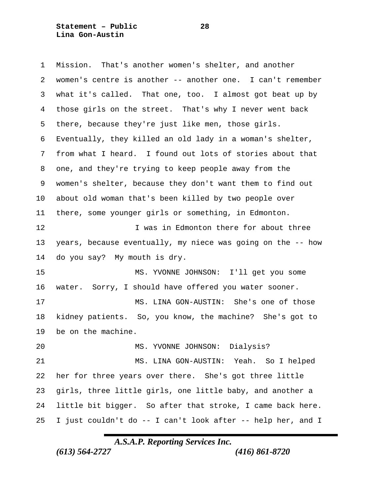**Statement – Public 28 Lina Gon-Austin**

 Mission. That's another women's shelter, and another women's centre is another -- another one. I can't remember what it's called. That one, too. I almost got beat up by those girls on the street. That's why I never went back there, because they're just like men, those girls. Eventually, they killed an old lady in a woman's shelter, from what I heard. I found out lots of stories about that one, and they're trying to keep people away from the women's shelter, because they don't want them to find out about old woman that's been killed by two people over there, some younger girls or something, in Edmonton. **I** was in Edmonton there for about three years, because eventually, my niece was going on the -- how do you say? My mouth is dry. MS. YVONNE JOHNSON: I'll get you some water. Sorry, I should have offered you water sooner. MS. LINA GON-AUSTIN: She's one of those kidney patients. So, you know, the machine? She's got to be on the machine. MS. YVONNE JOHNSON: Dialysis? MS. LINA GON-AUSTIN: Yeah. So I helped her for three years over there. She's got three little girls, three little girls, one little baby, and another a little bit bigger. So after that stroke, I came back here. I just couldn't do -- I can't look after -- help her, and I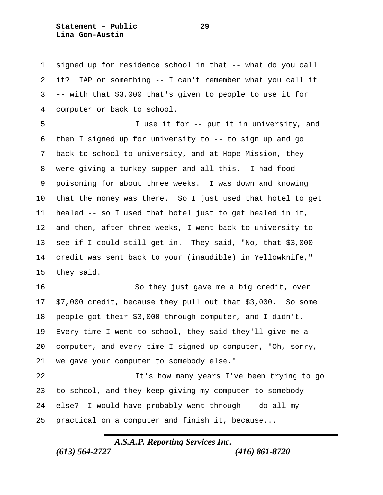**Statement – Public 29 Lina Gon-Austin**

 signed up for residence school in that -- what do you call it? IAP or something -- I can't remember what you call it -- with that \$3,000 that's given to people to use it for computer or back to school.

 I use it for -- put it in university, and then I signed up for university to -- to sign up and go back to school to university, and at Hope Mission, they were giving a turkey supper and all this. I had food poisoning for about three weeks. I was down and knowing that the money was there. So I just used that hotel to get healed -- so I used that hotel just to get healed in it, and then, after three weeks, I went back to university to see if I could still get in. They said, "No, that \$3,000 credit was sent back to your (inaudible) in Yellowknife," they said.

 So they just gave me a big credit, over \$7,000 credit, because they pull out that \$3,000. So some people got their \$3,000 through computer, and I didn't. Every time I went to school, they said they'll give me a computer, and every time I signed up computer, "Oh, sorry, we gave your computer to somebody else."

 It's how many years I've been trying to go to school, and they keep giving my computer to somebody else? I would have probably went through -- do all my practical on a computer and finish it, because...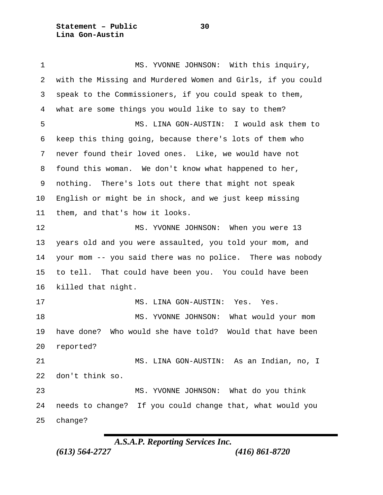**Statement – Public 30 Lina Gon-Austin**

1 MS. YVONNE JOHNSON: With this inquiry, with the Missing and Murdered Women and Girls, if you could speak to the Commissioners, if you could speak to them, what are some things you would like to say to them? MS. LINA GON-AUSTIN: I would ask them to keep this thing going, because there's lots of them who never found their loved ones. Like, we would have not found this woman. We don't know what happened to her, nothing. There's lots out there that might not speak English or might be in shock, and we just keep missing them, and that's how it looks. MS. YVONNE JOHNSON: When you were 13 years old and you were assaulted, you told your mom, and your mom -- you said there was no police. There was nobody to tell. That could have been you. You could have been killed that night. 17 MS. LINA GON-AUSTIN: Yes. Yes. MS. YVONNE JOHNSON: What would your mom have done? Who would she have told? Would that have been reported? MS. LINA GON-AUSTIN: As an Indian, no, I don't think so. MS. YVONNE JOHNSON: What do you think needs to change? If you could change that, what would you change?

*A.S.A.P. Reporting Services Inc.*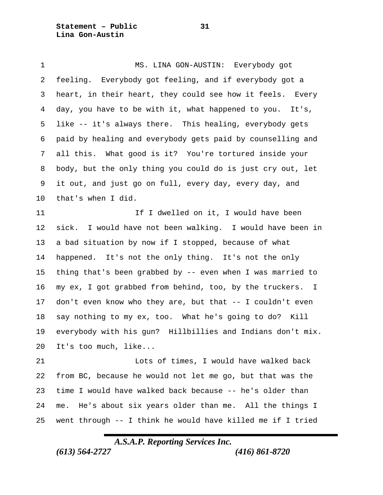**Statement – Public 31 Lina Gon-Austin**

 MS. LINA GON-AUSTIN: Everybody got feeling. Everybody got feeling, and if everybody got a heart, in their heart, they could see how it feels. Every day, you have to be with it, what happened to you. It's, like -- it's always there. This healing, everybody gets paid by healing and everybody gets paid by counselling and all this. What good is it? You're tortured inside your body, but the only thing you could do is just cry out, let it out, and just go on full, every day, every day, and that's when I did. 11 11 If I dwelled on it, I would have been sick. I would have not been walking. I would have been in a bad situation by now if I stopped, because of what happened. It's not the only thing. It's not the only thing that's been grabbed by -- even when I was married to my ex, I got grabbed from behind, too, by the truckers. I don't even know who they are, but that -- I couldn't even say nothing to my ex, too. What he's going to do? Kill everybody with his gun? Hillbillies and Indians don't mix. It's too much, like... Lots of times, I would have walked back from BC, because he would not let me go, but that was the time I would have walked back because -- he's older than

went through -- I think he would have killed me if I tried

me. He's about six years older than me. All the things I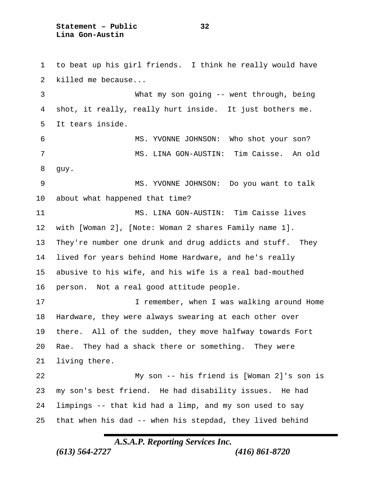**Statement – Public 32 Lina Gon-Austin**

 to beat up his girl friends. I think he really would have killed me because... What my son going -- went through, being shot, it really, really hurt inside. It just bothers me. It tears inside. MS. YVONNE JOHNSON: Who shot your son? MS. LINA GON-AUSTIN: Tim Caisse. An old guy. MS. YVONNE JOHNSON: Do you want to talk about what happened that time? MS. LINA GON-AUSTIN: Tim Caisse lives with [Woman 2], [Note: Woman 2 shares Family name 1]. They're number one drunk and drug addicts and stuff. They lived for years behind Home Hardware, and he's really abusive to his wife, and his wife is a real bad-mouthed person. Not a real good attitude people. 17 I remember, when I was walking around Home Hardware, they were always swearing at each other over there. All of the sudden, they move halfway towards Fort Rae. They had a shack there or something. They were living there. My son -- his friend is [Woman 2]'s son is my son's best friend. He had disability issues. He had limpings -- that kid had a limp, and my son used to say that when his dad -- when his stepdad, they lived behind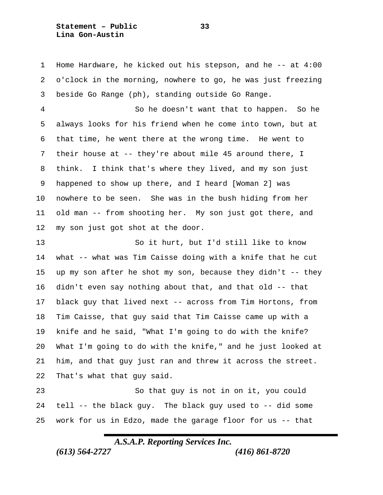**Statement – Public 33 Lina Gon-Austin**

 Home Hardware, he kicked out his stepson, and he -- at 4:00 o'clock in the morning, nowhere to go, he was just freezing beside Go Range (ph), standing outside Go Range.

 So he doesn't want that to happen. So he always looks for his friend when he come into town, but at that time, he went there at the wrong time. He went to their house at -- they're about mile 45 around there, I think. I think that's where they lived, and my son just happened to show up there, and I heard [Woman 2] was nowhere to be seen. She was in the bush hiding from her old man -- from shooting her. My son just got there, and my son just got shot at the door.

 So it hurt, but I'd still like to know what -- what was Tim Caisse doing with a knife that he cut up my son after he shot my son, because they didn't -- they didn't even say nothing about that, and that old -- that black guy that lived next -- across from Tim Hortons, from Tim Caisse, that guy said that Tim Caisse came up with a knife and he said, "What I'm going to do with the knife? What I'm going to do with the knife," and he just looked at him, and that guy just ran and threw it across the street. That's what that guy said.

 So that guy is not in on it, you could tell -- the black guy. The black guy used to -- did some work for us in Edzo, made the garage floor for us -- that

*A.S.A.P. Reporting Services Inc.*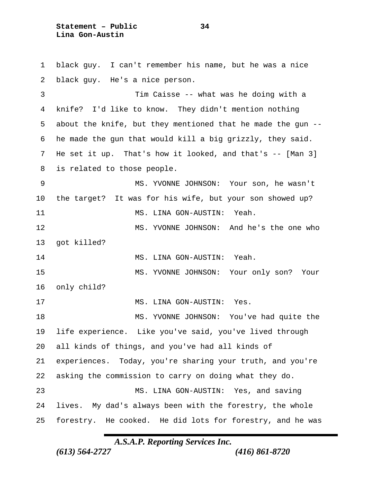**Statement – Public 34 Lina Gon-Austin**

 black guy. I can't remember his name, but he was a nice black guy. He's a nice person. Tim Caisse -- what was he doing with a knife? I'd like to know. They didn't mention nothing about the knife, but they mentioned that he made the gun -- he made the gun that would kill a big grizzly, they said. He set it up. That's how it looked, and that's -- [Man 3] is related to those people. MS. YVONNE JOHNSON: Your son, he wasn't the target? It was for his wife, but your son showed up? 11 MS. LINA GON-AUSTIN: Yeah. MS. YVONNE JOHNSON: And he's the one who got killed? 14 MS. LINA GON-AUSTIN: Yeah. MS. YVONNE JOHNSON: Your only son? Your only child? 17 MS. LINA GON-AUSTIN: Yes. MS. YVONNE JOHNSON: You've had quite the life experience. Like you've said, you've lived through all kinds of things, and you've had all kinds of experiences. Today, you're sharing your truth, and you're asking the commission to carry on doing what they do. MS. LINA GON-AUSTIN: Yes, and saving lives. My dad's always been with the forestry, the whole forestry. He cooked. He did lots for forestry, and he was

*A.S.A.P. Reporting Services Inc.*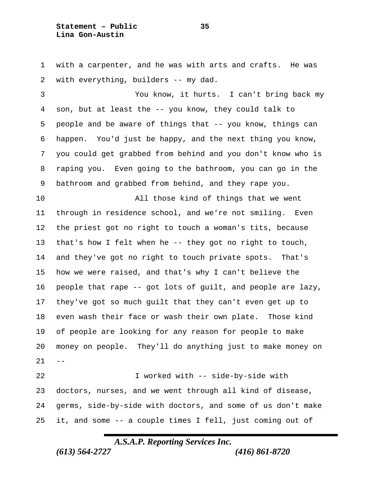**Statement – Public 35 Lina Gon-Austin**

 with a carpenter, and he was with arts and crafts. He was with everything, builders -- my dad.

 You know, it hurts. I can't bring back my son, but at least the -- you know, they could talk to people and be aware of things that -- you know, things can happen. You'd just be happy, and the next thing you know, you could get grabbed from behind and you don't know who is raping you. Even going to the bathroom, you can go in the bathroom and grabbed from behind, and they rape you.

 All those kind of things that we went through in residence school, and we're not smiling. Even the priest got no right to touch a woman's tits, because that's how I felt when he -- they got no right to touch, and they've got no right to touch private spots. That's how we were raised, and that's why I can't believe the people that rape -- got lots of guilt, and people are lazy, they've got so much guilt that they can't even get up to even wash their face or wash their own plate. Those kind of people are looking for any reason for people to make money on people. They'll do anything just to make money on  $21 - -$ 

 I worked with -- side-by-side with doctors, nurses, and we went through all kind of disease, germs, side-by-side with doctors, and some of us don't make it, and some -- a couple times I fell, just coming out of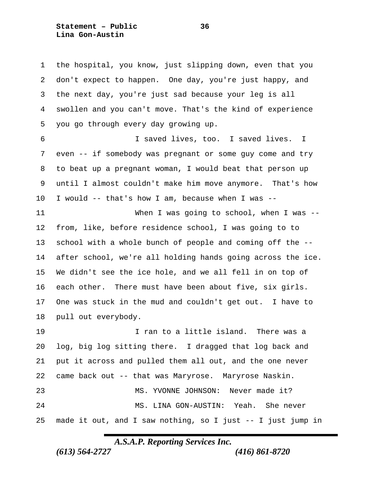**Statement – Public 36 Lina Gon-Austin**

 the hospital, you know, just slipping down, even that you don't expect to happen. One day, you're just happy, and the next day, you're just sad because your leg is all swollen and you can't move. That's the kind of experience you go through every day growing up.

 I saved lives, too. I saved lives. I even -- if somebody was pregnant or some guy come and try to beat up a pregnant woman, I would beat that person up until I almost couldn't make him move anymore. That's how I would -- that's how I am, because when I was --

 When I was going to school, when I was -- from, like, before residence school, I was going to to school with a whole bunch of people and coming off the -- after school, we're all holding hands going across the ice. We didn't see the ice hole, and we all fell in on top of each other. There must have been about five, six girls. One was stuck in the mud and couldn't get out. I have to pull out everybody.

 I ran to a little island. There was a log, big log sitting there. I dragged that log back and put it across and pulled them all out, and the one never came back out -- that was Maryrose. Maryrose Naskin. MS. YVONNE JOHNSON: Never made it? MS. LINA GON-AUSTIN: Yeah. She never made it out, and I saw nothing, so I just -- I just jump in

### *A.S.A.P. Reporting Services Inc.*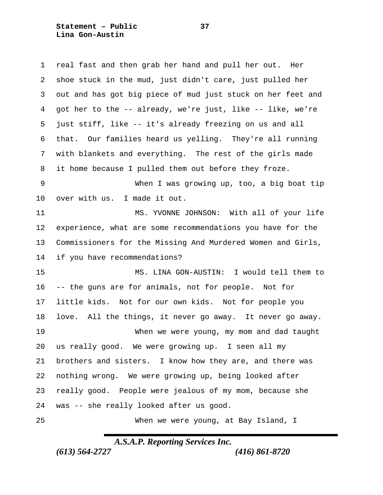**Statement – Public 37 Lina Gon-Austin**

| 1       | real fast and then grab her hand and pull her out. Her      |
|---------|-------------------------------------------------------------|
| 2       | shoe stuck in the mud, just didn't care, just pulled her    |
| 3       | out and has got big piece of mud just stuck on her feet and |
| 4       | got her to the -- already, we're just, like -- like, we're  |
| 5       | just stiff, like -- it's already freezing on us and all     |
| 6       | that. Our families heard us yelling. They're all running    |
| 7       | with blankets and everything. The rest of the girls made    |
| 8       | it home because I pulled them out before they froze.        |
| 9       | When I was growing up, too, a big boat tip                  |
| $10 \,$ | over with us. I made it out.                                |
| 11      | MS. YVONNE JOHNSON: With all of your life                   |
| 12      | experience, what are some recommendations you have for the  |
| 13      | Commissioners for the Missing And Murdered Women and Girls, |
| 14      | if you have recommendations?                                |
| 15      | MS. LINA GON-AUSTIN: I would tell them to                   |
| 16      | -- the guns are for animals, not for people. Not for        |
| 17      | little kids. Not for our own kids. Not for people you       |
| 18      | love. All the things, it never go away. It never go away.   |
| 19      | When we were young, my mom and dad taught                   |
| 20      | us really good. We were growing up. I seen all my           |
| 21      | brothers and sisters. I know how they are, and there was    |
| 22      | nothing wrong. We were growing up, being looked after       |
| 23      | really good. People were jealous of my mom, because she     |
| 24      | was -- she really looked after us good.                     |
| 25      | When we were young, at Bay Island, I                        |

# *A.S.A.P. Reporting Services Inc.*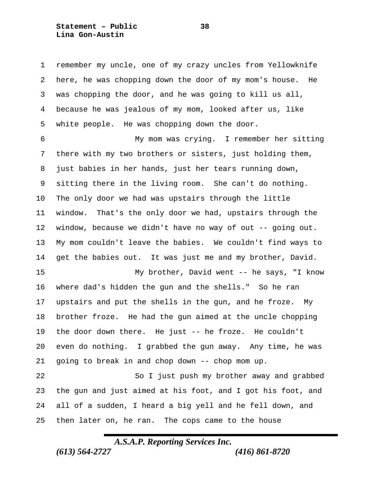**Statement – Public 38 Lina Gon-Austin**

 remember my uncle, one of my crazy uncles from Yellowknife here, he was chopping down the door of my mom's house. He was chopping the door, and he was going to kill us all, because he was jealous of my mom, looked after us, like white people. He was chopping down the door.

 My mom was crying. I remember her sitting there with my two brothers or sisters, just holding them, just babies in her hands, just her tears running down, sitting there in the living room. She can't do nothing. The only door we had was upstairs through the little window. That's the only door we had, upstairs through the window, because we didn't have no way of out -- going out. My mom couldn't leave the babies. We couldn't find ways to get the babies out. It was just me and my brother, David.

 My brother, David went -- he says, "I know where dad's hidden the gun and the shells." So he ran upstairs and put the shells in the gun, and he froze. My brother froze. He had the gun aimed at the uncle chopping the door down there. He just -- he froze. He couldn't even do nothing. I grabbed the gun away. Any time, he was going to break in and chop down -- chop mom up.

 So I just push my brother away and grabbed the gun and just aimed at his foot, and I got his foot, and all of a sudden, I heard a big yell and he fell down, and then later on, he ran. The cops came to the house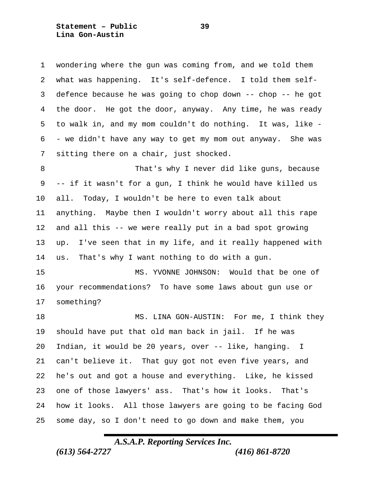**Statement – Public 39 Lina Gon-Austin**

 wondering where the gun was coming from, and we told them what was happening. It's self-defence. I told them self- defence because he was going to chop down -- chop -- he got the door. He got the door, anyway. Any time, he was ready to walk in, and my mom couldn't do nothing. It was, like - - we didn't have any way to get my mom out anyway. She was sitting there on a chair, just shocked.

 That's why I never did like guns, because -- if it wasn't for a gun, I think he would have killed us all. Today, I wouldn't be here to even talk about anything. Maybe then I wouldn't worry about all this rape and all this -- we were really put in a bad spot growing up. I've seen that in my life, and it really happened with us. That's why I want nothing to do with a gun.

 MS. YVONNE JOHNSON: Would that be one of your recommendations? To have some laws about gun use or something?

18 MS. LINA GON-AUSTIN: For me, I think they should have put that old man back in jail. If he was Indian, it would be 20 years, over -- like, hanging. I can't believe it. That guy got not even five years, and he's out and got a house and everything. Like, he kissed one of those lawyers' ass. That's how it looks. That's how it looks. All those lawyers are going to be facing God some day, so I don't need to go down and make them, you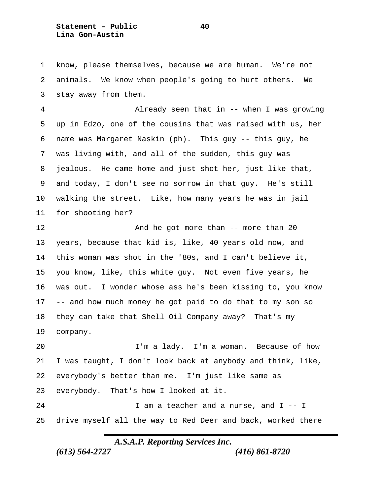**Statement – Public 40 Lina Gon-Austin**

 know, please themselves, because we are human. We're not animals. We know when people's going to hurt others. We stay away from them.

 Already seen that in -- when I was growing up in Edzo, one of the cousins that was raised with us, her name was Margaret Naskin (ph). This guy -- this guy, he was living with, and all of the sudden, this guy was jealous. He came home and just shot her, just like that, and today, I don't see no sorrow in that guy. He's still walking the street. Like, how many years he was in jail for shooting her?

**And he got more than -- more than 20**  years, because that kid is, like, 40 years old now, and this woman was shot in the '80s, and I can't believe it, you know, like, this white guy. Not even five years, he was out. I wonder whose ass he's been kissing to, you know -- and how much money he got paid to do that to my son so they can take that Shell Oil Company away? That's my company.

 I'm a lady. I'm a woman. Because of how I was taught, I don't look back at anybody and think, like, everybody's better than me. I'm just like same as everybody. That's how I looked at it. 24 I am a teacher and a nurse, and I -- I drive myself all the way to Red Deer and back, worked there

*A.S.A.P. Reporting Services Inc.*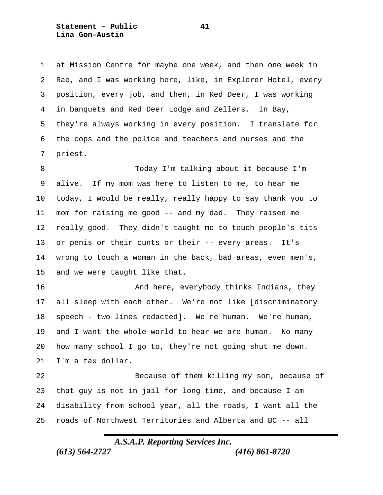**Statement – Public 41 Lina Gon-Austin**

 at Mission Centre for maybe one week, and then one week in Rae, and I was working here, like, in Explorer Hotel, every position, every job, and then, in Red Deer, I was working in banquets and Red Deer Lodge and Zellers. In Bay, they're always working in every position. I translate for the cops and the police and teachers and nurses and the priest.

 Today I'm talking about it because I'm alive. If my mom was here to listen to me, to hear me today, I would be really, really happy to say thank you to mom for raising me good -- and my dad. They raised me really good. They didn't taught me to touch people's tits or penis or their cunts or their -- every areas. It's wrong to touch a woman in the back, bad areas, even men's, and we were taught like that.

**And here, everybody thinks Indians, they**  all sleep with each other. We're not like [discriminatory speech - two lines redacted]. We're human. We're human, and I want the whole world to hear we are human. No many how many school I go to, they're not going shut me down. I'm a tax dollar.

 Because of them killing my son, because of that guy is not in jail for long time, and because I am disability from school year, all the roads, I want all the roads of Northwest Territories and Alberta and BC -- all

# *A.S.A.P. Reporting Services Inc.*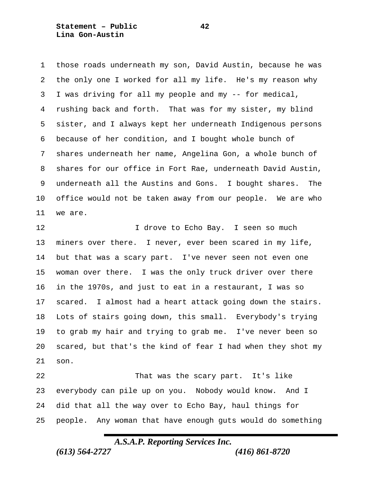**Statement – Public 42 Lina Gon-Austin**

 those roads underneath my son, David Austin, because he was the only one I worked for all my life. He's my reason why I was driving for all my people and my -- for medical, rushing back and forth. That was for my sister, my blind sister, and I always kept her underneath Indigenous persons because of her condition, and I bought whole bunch of shares underneath her name, Angelina Gon, a whole bunch of shares for our office in Fort Rae, underneath David Austin, underneath all the Austins and Gons. I bought shares. The office would not be taken away from our people. We are who we are.

12 12 I drove to Echo Bay. I seen so much miners over there. I never, ever been scared in my life, but that was a scary part. I've never seen not even one woman over there. I was the only truck driver over there in the 1970s, and just to eat in a restaurant, I was so scared. I almost had a heart attack going down the stairs. Lots of stairs going down, this small. Everybody's trying to grab my hair and trying to grab me. I've never been so scared, but that's the kind of fear I had when they shot my son.

 That was the scary part. It's like everybody can pile up on you. Nobody would know. And I did that all the way over to Echo Bay, haul things for people. Any woman that have enough guts would do something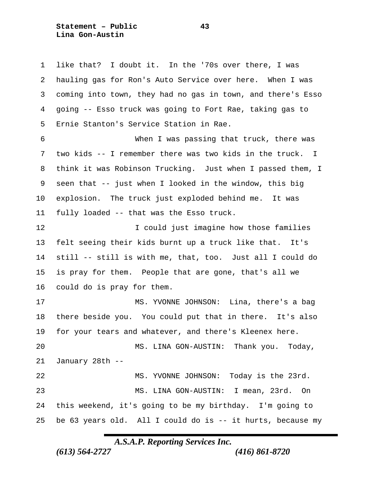**Statement – Public 43 Lina Gon-Austin**

 like that? I doubt it. In the '70s over there, I was hauling gas for Ron's Auto Service over here. When I was coming into town, they had no gas in town, and there's Esso going -- Esso truck was going to Fort Rae, taking gas to Ernie Stanton's Service Station in Rae. When I was passing that truck, there was two kids -- I remember there was two kids in the truck. I think it was Robinson Trucking. Just when I passed them, I seen that -- just when I looked in the window, this big explosion. The truck just exploded behind me. It was fully loaded -- that was the Esso truck. I could just imagine how those families felt seeing their kids burnt up a truck like that. It's still -- still is with me, that, too. Just all I could do is pray for them. People that are gone, that's all we could do is pray for them. MS. YVONNE JOHNSON: Lina, there's a bag

 there beside you. You could put that in there. It's also for your tears and whatever, and there's Kleenex here. MS. LINA GON-AUSTIN: Thank you. Today, January 28th -- MS. YVONNE JOHNSON: Today is the 23rd. MS. LINA GON-AUSTIN: I mean, 23rd. On this weekend, it's going to be my birthday. I'm going to be 63 years old. All I could do is -- it hurts, because my

*A.S.A.P. Reporting Services Inc.*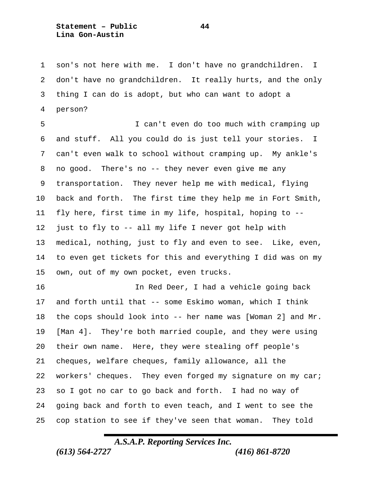**Statement – Public 44 Lina Gon-Austin**

 son's not here with me. I don't have no grandchildren. I don't have no grandchildren. It really hurts, and the only thing I can do is adopt, but who can want to adopt a person?

 I can't even do too much with cramping up and stuff. All you could do is just tell your stories. I can't even walk to school without cramping up. My ankle's no good. There's no -- they never even give me any transportation. They never help me with medical, flying back and forth. The first time they help me in Fort Smith, fly here, first time in my life, hospital, hoping to -- just to fly to -- all my life I never got help with medical, nothing, just to fly and even to see. Like, even, to even get tickets for this and everything I did was on my own, out of my own pocket, even trucks.

 In Red Deer, I had a vehicle going back and forth until that -- some Eskimo woman, which I think the cops should look into -- her name was [Woman 2] and Mr. [Man 4]. They're both married couple, and they were using their own name. Here, they were stealing off people's cheques, welfare cheques, family allowance, all the 22 workers' cheques. They even forged my signature on my car; so I got no car to go back and forth. I had no way of going back and forth to even teach, and I went to see the cop station to see if they've seen that woman. They told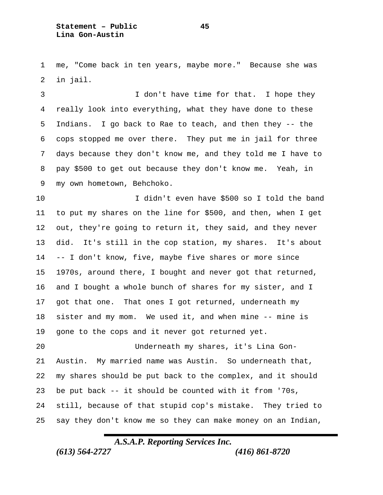me, "Come back in ten years, maybe more." Because she was in jail.

 I don't have time for that. I hope they really look into everything, what they have done to these Indians. I go back to Rae to teach, and then they -- the cops stopped me over there. They put me in jail for three days because they don't know me, and they told me I have to pay \$500 to get out because they don't know me. Yeah, in my own hometown, Behchoko.

 I didn't even have \$500 so I told the band to put my shares on the line for \$500, and then, when I get out, they're going to return it, they said, and they never did. It's still in the cop station, my shares. It's about -- I don't know, five, maybe five shares or more since 1970s, around there, I bought and never got that returned, and I bought a whole bunch of shares for my sister, and I got that one. That ones I got returned, underneath my sister and my mom. We used it, and when mine -- mine is gone to the cops and it never got returned yet.

 Underneath my shares, it's Lina Gon- Austin. My married name was Austin. So underneath that, my shares should be put back to the complex, and it should be put back -- it should be counted with it from '70s, still, because of that stupid cop's mistake. They tried to say they don't know me so they can make money on an Indian,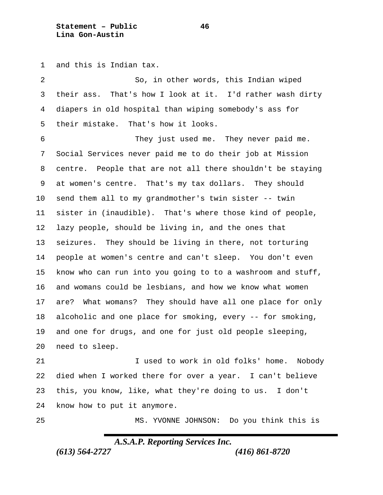**Statement – Public 46 Lina Gon-Austin**

and this is Indian tax.

 So, in other words, this Indian wiped their ass. That's how I look at it. I'd rather wash dirty diapers in old hospital than wiping somebody's ass for their mistake. That's how it looks. They just used me. They never paid me. Social Services never paid me to do their job at Mission centre. People that are not all there shouldn't be staying at women's centre. That's my tax dollars. They should send them all to my grandmother's twin sister -- twin sister in (inaudible). That's where those kind of people, lazy people, should be living in, and the ones that seizures. They should be living in there, not torturing people at women's centre and can't sleep. You don't even know who can run into you going to to a washroom and stuff, and womans could be lesbians, and how we know what women are? What womans? They should have all one place for only alcoholic and one place for smoking, every -- for smoking, and one for drugs, and one for just old people sleeping, need to sleep.

21 1 I used to work in old folks' home. Nobody died when I worked there for over a year. I can't believe this, you know, like, what they're doing to us. I don't know how to put it anymore.

MS. YVONNE JOHNSON: Do you think this is

### *A.S.A.P. Reporting Services Inc.*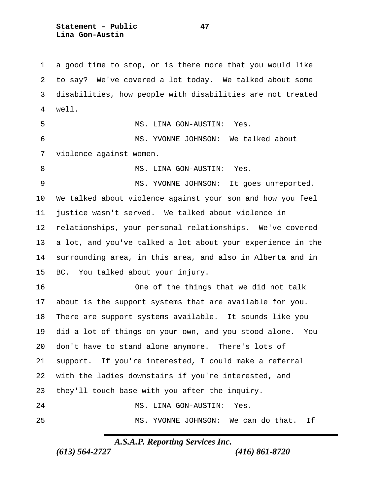**Statement – Public 47 Lina Gon-Austin**

 a good time to stop, or is there more that you would like to say? We've covered a lot today. We talked about some disabilities, how people with disabilities are not treated well. MS. LINA GON-AUSTIN: Yes. MS. YVONNE JOHNSON: We talked about violence against women. 8 MS. LINA GON-AUSTIN: Yes. MS. YVONNE JOHNSON: It goes unreported. We talked about violence against your son and how you feel justice wasn't served. We talked about violence in relationships, your personal relationships. We've covered a lot, and you've talked a lot about your experience in the surrounding area, in this area, and also in Alberta and in BC. You talked about your injury. One of the things that we did not talk about is the support systems that are available for you. There are support systems available. It sounds like you did a lot of things on your own, and you stood alone. You don't have to stand alone anymore. There's lots of support. If you're interested, I could make a referral with the ladies downstairs if you're interested, and they'll touch base with you after the inquiry. MS. LINA GON-AUSTIN: Yes. MS. YVONNE JOHNSON: We can do that. If

*A.S.A.P. Reporting Services Inc.*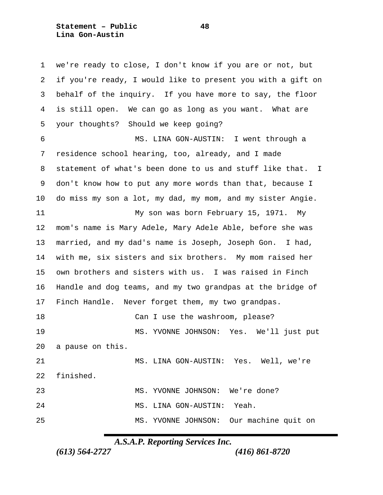**Statement – Public 48 Lina Gon-Austin**

 we're ready to close, I don't know if you are or not, but if you're ready, I would like to present you with a gift on behalf of the inquiry. If you have more to say, the floor is still open. We can go as long as you want. What are your thoughts? Should we keep going? MS. LINA GON-AUSTIN: I went through a residence school hearing, too, already, and I made statement of what's been done to us and stuff like that. I don't know how to put any more words than that, because I do miss my son a lot, my dad, my mom, and my sister Angie. My son was born February 15, 1971. My mom's name is Mary Adele, Mary Adele Able, before she was married, and my dad's name is Joseph, Joseph Gon. I had, with me, six sisters and six brothers. My mom raised her own brothers and sisters with us. I was raised in Finch Handle and dog teams, and my two grandpas at the bridge of Finch Handle. Never forget them, my two grandpas. 18 Can I use the washroom, please? MS. YVONNE JOHNSON: Yes. We'll just put a pause on this. MS. LINA GON-AUSTIN: Yes. Well, we're finished. MS. YVONNE JOHNSON: We're done? MS. LINA GON-AUSTIN: Yeah. MS. YVONNE JOHNSON: Our machine quit on

*A.S.A.P. Reporting Services Inc.*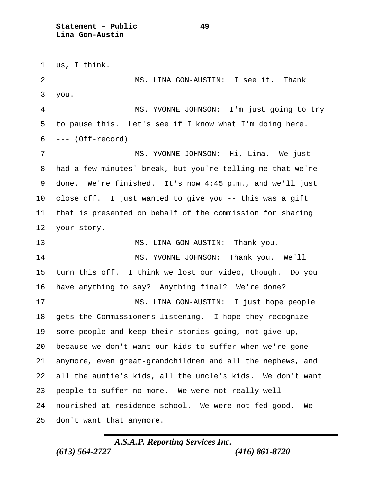us, I think. MS. LINA GON-AUSTIN: I see it. Thank you. MS. YVONNE JOHNSON: I'm just going to try to pause this. Let's see if I know what I'm doing here. --- (Off-record) MS. YVONNE JOHNSON: Hi, Lina. We just had a few minutes' break, but you're telling me that we're done. We're finished. It's now 4:45 p.m., and we'll just close off. I just wanted to give you -- this was a gift that is presented on behalf of the commission for sharing your story. 13 MS. LINA GON-AUSTIN: Thank you. MS. YVONNE JOHNSON: Thank you. We'll turn this off. I think we lost our video, though. Do you have anything to say? Anything final? We're done? MS. LINA GON-AUSTIN: I just hope people gets the Commissioners listening. I hope they recognize some people and keep their stories going, not give up, because we don't want our kids to suffer when we're gone anymore, even great-grandchildren and all the nephews, and all the auntie's kids, all the uncle's kids. We don't want people to suffer no more. We were not really well- nourished at residence school. We were not fed good. We don't want that anymore.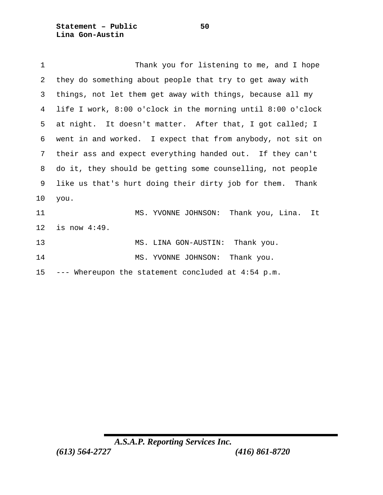**Statement – Public 50 Lina Gon-Austin**

| $\mathbf 1$     | Thank you for listening to me, and I hope                   |
|-----------------|-------------------------------------------------------------|
| 2               | they do something about people that try to get away with    |
| 3               | things, not let them get away with things, because all my   |
| 4               | life I work, 8:00 o'clock in the morning until 8:00 o'clock |
| 5               | at night. It doesn't matter. After that, I got called; I    |
| 6               | went in and worked. I expect that from anybody, not sit on  |
| 7               | their ass and expect everything handed out. If they can't   |
| 8               | do it, they should be getting some counselling, not people  |
| 9               | like us that's hurt doing their dirty job for them. Thank   |
| 10              | you.                                                        |
| 11              | MS. YVONNE JOHNSON:<br>Thank you, Lina.<br>It               |
| 12              | is now $4:49$ .                                             |
| 13              | MS. LINA GON-AUSTIN: Thank you.                             |
| 14              | Thank you.<br>MS. YVONNE JOHNSON:                           |
| 15 <sub>2</sub> | --- Whereupon the statement concluded at 4:54 p.m.          |